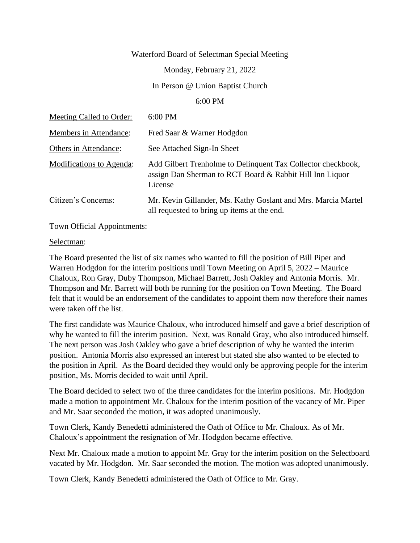## Waterford Board of Selectman Special Meeting

Monday, February 21, 2022

In Person @ Union Baptist Church

## 6:00 PM

| Meeting Called to Order:        | 6:00 PM                                                                                                                             |
|---------------------------------|-------------------------------------------------------------------------------------------------------------------------------------|
| Members in Attendance:          | Fred Saar & Warner Hodgdon                                                                                                          |
| Others in Attendance:           | See Attached Sign-In Sheet                                                                                                          |
| <b>Modifications to Agenda:</b> | Add Gilbert Trenholme to Delinquent Tax Collector checkbook,<br>assign Dan Sherman to RCT Board & Rabbit Hill Inn Liquor<br>License |
| Citizen's Concerns:             | Mr. Kevin Gillander, Ms. Kathy Goslant and Mrs. Marcia Martel<br>all requested to bring up items at the end.                        |

Town Official Appointments:

## Selectman:

The Board presented the list of six names who wanted to fill the position of Bill Piper and Warren Hodgdon for the interim positions until Town Meeting on April 5, 2022 – Maurice Chaloux, Ron Gray, Duby Thompson, Michael Barrett, Josh Oakley and Antonia Morris. Mr. Thompson and Mr. Barrett will both be running for the position on Town Meeting. The Board felt that it would be an endorsement of the candidates to appoint them now therefore their names were taken off the list.

The first candidate was Maurice Chaloux, who introduced himself and gave a brief description of why he wanted to fill the interim position. Next, was Ronald Gray, who also introduced himself. The next person was Josh Oakley who gave a brief description of why he wanted the interim position. Antonia Morris also expressed an interest but stated she also wanted to be elected to the position in April. As the Board decided they would only be approving people for the interim position, Ms. Morris decided to wait until April.

The Board decided to select two of the three candidates for the interim positions. Mr. Hodgdon made a motion to appointment Mr. Chaloux for the interim position of the vacancy of Mr. Piper and Mr. Saar seconded the motion, it was adopted unanimously.

Town Clerk, Kandy Benedetti administered the Oath of Office to Mr. Chaloux. As of Mr. Chaloux's appointment the resignation of Mr. Hodgdon became effective.

Next Mr. Chaloux made a motion to appoint Mr. Gray for the interim position on the Selectboard vacated by Mr. Hodgdon. Mr. Saar seconded the motion. The motion was adopted unanimously.

Town Clerk, Kandy Benedetti administered the Oath of Office to Mr. Gray.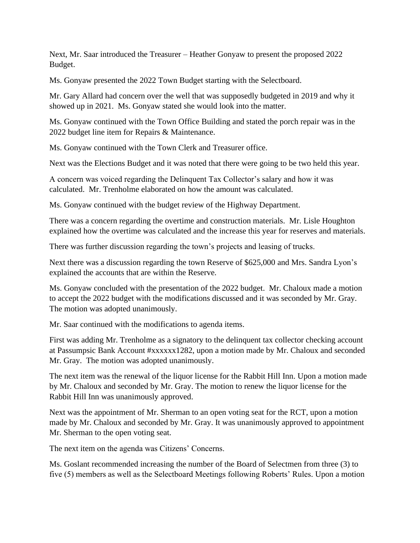Next, Mr. Saar introduced the Treasurer – Heather Gonyaw to present the proposed 2022 Budget.

Ms. Gonyaw presented the 2022 Town Budget starting with the Selectboard.

Mr. Gary Allard had concern over the well that was supposedly budgeted in 2019 and why it showed up in 2021. Ms. Gonyaw stated she would look into the matter.

Ms. Gonyaw continued with the Town Office Building and stated the porch repair was in the 2022 budget line item for Repairs & Maintenance.

Ms. Gonyaw continued with the Town Clerk and Treasurer office.

Next was the Elections Budget and it was noted that there were going to be two held this year.

A concern was voiced regarding the Delinquent Tax Collector's salary and how it was calculated. Mr. Trenholme elaborated on how the amount was calculated.

Ms. Gonyaw continued with the budget review of the Highway Department.

There was a concern regarding the overtime and construction materials. Mr. Lisle Houghton explained how the overtime was calculated and the increase this year for reserves and materials.

There was further discussion regarding the town's projects and leasing of trucks.

Next there was a discussion regarding the town Reserve of \$625,000 and Mrs. Sandra Lyon's explained the accounts that are within the Reserve.

Ms. Gonyaw concluded with the presentation of the 2022 budget. Mr. Chaloux made a motion to accept the 2022 budget with the modifications discussed and it was seconded by Mr. Gray. The motion was adopted unanimously.

Mr. Saar continued with the modifications to agenda items.

First was adding Mr. Trenholme as a signatory to the delinquent tax collector checking account at Passumpsic Bank Account #xxxxxx1282, upon a motion made by Mr. Chaloux and seconded Mr. Gray. The motion was adopted unanimously.

The next item was the renewal of the liquor license for the Rabbit Hill Inn. Upon a motion made by Mr. Chaloux and seconded by Mr. Gray. The motion to renew the liquor license for the Rabbit Hill Inn was unanimously approved.

Next was the appointment of Mr. Sherman to an open voting seat for the RCT, upon a motion made by Mr. Chaloux and seconded by Mr. Gray. It was unanimously approved to appointment Mr. Sherman to the open voting seat.

The next item on the agenda was Citizens' Concerns.

Ms. Goslant recommended increasing the number of the Board of Selectmen from three (3) to five (5) members as well as the Selectboard Meetings following Roberts' Rules. Upon a motion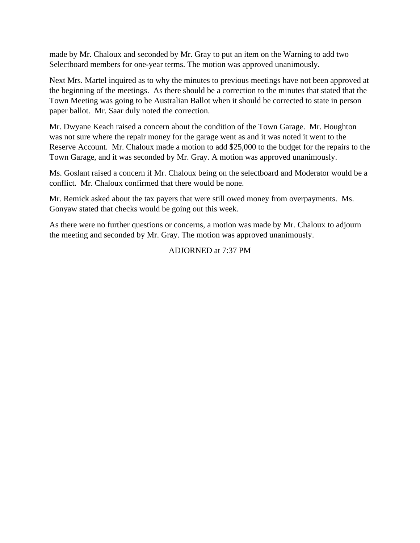made by Mr. Chaloux and seconded by Mr. Gray to put an item on the Warning to add two Selectboard members for one-year terms. The motion was approved unanimously.

Next Mrs. Martel inquired as to why the minutes to previous meetings have not been approved at the beginning of the meetings. As there should be a correction to the minutes that stated that the Town Meeting was going to be Australian Ballot when it should be corrected to state in person paper ballot. Mr. Saar duly noted the correction.

Mr. Dwyane Keach raised a concern about the condition of the Town Garage. Mr. Houghton was not sure where the repair money for the garage went as and it was noted it went to the Reserve Account. Mr. Chaloux made a motion to add \$25,000 to the budget for the repairs to the Town Garage, and it was seconded by Mr. Gray. A motion was approved unanimously.

Ms. Goslant raised a concern if Mr. Chaloux being on the selectboard and Moderator would be a conflict. Mr. Chaloux confirmed that there would be none.

Mr. Remick asked about the tax payers that were still owed money from overpayments. Ms. Gonyaw stated that checks would be going out this week.

As there were no further questions or concerns, a motion was made by Mr. Chaloux to adjourn the meeting and seconded by Mr. Gray. The motion was approved unanimously.

## ADJORNED at 7:37 PM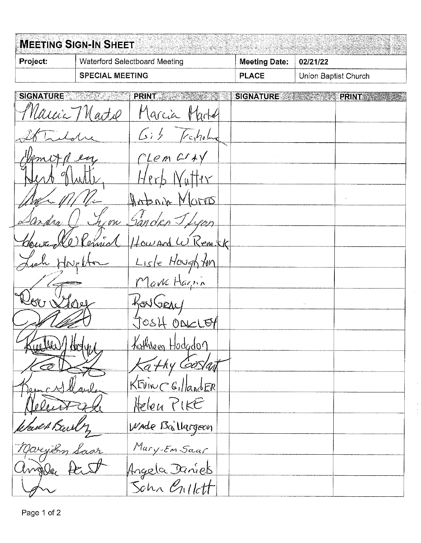|                        | <b>MEETING SIGN-IN SHEET</b> |                                      |  |                          |                      |              |
|------------------------|------------------------------|--------------------------------------|--|--------------------------|----------------------|--------------|
| Project:               |                              | <b>Waterford Selectboard Meeting</b> |  | <b>Meeting Date:</b>     | 02/21/22             |              |
| <b>SPECIAL MEETING</b> |                              |                                      |  | <b>PLACE</b>             | Union Baptist Church |              |
| <b>SIGNATURE</b>       |                              | <b>PRINT</b>                         |  | <b>SIGNATURE AND ALL</b> |                      | <b>PRINT</b> |
| Naicia TV              |                              | Marcia<br>∦                          |  |                          |                      |              |
|                        |                              | $\mathcal{L}$ c $\mathcal{h}$ oln    |  |                          |                      |              |
|                        |                              | CLem C                               |  |                          |                      |              |
|                        |                              |                                      |  |                          |                      |              |
|                        |                              | TIS                                  |  |                          |                      |              |
|                        |                              |                                      |  |                          |                      |              |
|                        |                              | Kem kk                               |  |                          |                      |              |
|                        |                              | Lisle Houghton                       |  |                          |                      |              |
|                        |                              | Mark Harrin                          |  |                          |                      |              |
|                        |                              |                                      |  |                          |                      |              |
|                        |                              |                                      |  |                          |                      |              |
| Kuelke) Holy           |                              | Kathreen Hodgdon                     |  |                          |                      |              |
|                        |                              | Kathy Goslan                         |  |                          |                      |              |
|                        |                              | KEVINC GillandER                     |  |                          |                      |              |
|                        |                              | Helen PIKE                           |  |                          |                      |              |
| Would Barly            |                              | Wade Ballargeon                      |  |                          |                      |              |
| Maryton Saar           |                              | Mary-Em Saar                         |  |                          |                      |              |
| Crafte,                |                              | Angela Daniel                        |  |                          |                      |              |
|                        |                              | Schn enllett                         |  |                          |                      |              |

 $\hat{\boldsymbol{\beta}}$ 

 $\hat{\boldsymbol{\beta}}$ 

Page 1 of 2